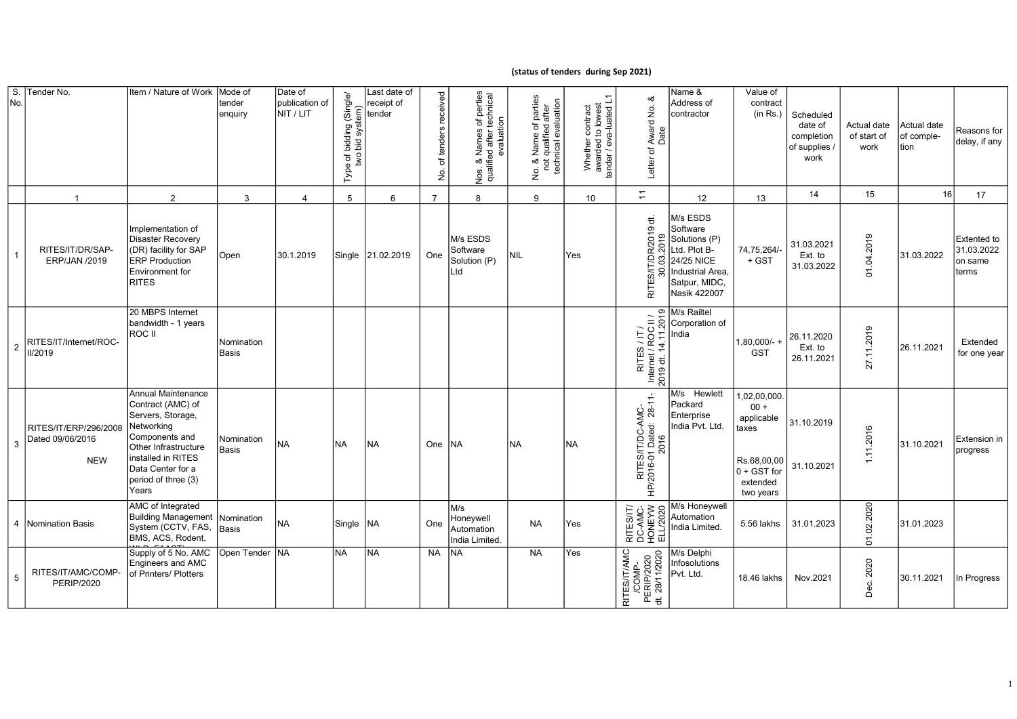## (status of tenders during Sep 2021)

| S.<br>No.      | Tender No.                                              | Item / Nature of Work                                                                                                                                                                                  | Mode of<br>tender<br>enquiry | Date of<br>publication of<br>NIT / LIT | Single/<br>bidding (Sing<br>bid system)<br>two<br>৳<br>Type | Last date of<br>receipt of<br>tender | received<br>tenders<br>৳<br>е<br>2 | . Names of perties<br>ed after technical<br>evaluation<br>Nos. & Names of<br>qualified after to | f parties<br>after<br>technical evaluation<br>Name of <sub>I</sub><br>qualified a<br>$\frac{8}{10}$<br>غ<br>ع | Whether contract<br>awarded to lowest<br>tender / eva-luated L1 | ∞<br>Award No.<br>Date<br>Letter of                                                                       | Name &<br>Address of<br>contractor                                                                                       | Value of<br>contract<br>(in Rs.)                                                                     | Scheduled<br>date of<br>completion<br>of supplies<br>work | Actual date<br>of start of<br>work | Actual date<br>of comple-<br>tion | Reasons for<br>delay, if any                  |
|----------------|---------------------------------------------------------|--------------------------------------------------------------------------------------------------------------------------------------------------------------------------------------------------------|------------------------------|----------------------------------------|-------------------------------------------------------------|--------------------------------------|------------------------------------|-------------------------------------------------------------------------------------------------|---------------------------------------------------------------------------------------------------------------|-----------------------------------------------------------------|-----------------------------------------------------------------------------------------------------------|--------------------------------------------------------------------------------------------------------------------------|------------------------------------------------------------------------------------------------------|-----------------------------------------------------------|------------------------------------|-----------------------------------|-----------------------------------------------|
|                |                                                         | 2                                                                                                                                                                                                      | 3                            | $\overline{4}$                         | 5                                                           | 6                                    | $\overline{7}$                     | 8                                                                                               | 9                                                                                                             | 10 <sup>1</sup>                                                 | $\overline{+}$                                                                                            | 12 <sup>°</sup>                                                                                                          | 13                                                                                                   | 14                                                        | 15                                 | 16                                | 17                                            |
| $\mathbf{1}$   | RITES/IT/DR/SAP-<br>ERP/JAN /2019                       | Implementation of<br>Disaster Recovery<br>(DR) facility for SAP<br><b>ERP Production</b><br>Environment for<br><b>RITES</b>                                                                            | Open                         | 30.1.2019                              | Single                                                      | 21.02.2019                           | One                                | M/s ESDS<br>Software<br>Solution (P)<br>Ltd                                                     | <b>NIL</b>                                                                                                    | Yes                                                             | $\overleftrightarrow{\sigma}$<br>019<br>$\overline{9}$<br>8<br><b>S/IT/D</b><br>පි<br>30.<br><b>RITES</b> | M/s ESDS<br>Software<br>Solutions (P)<br>Ltd. Plot B-<br>24/25 NICE<br>Industrial Area,<br>Satpur, MIDC,<br>Nasik 422007 | 74,75,264/-<br>+ GST                                                                                 | 31.03.2021<br>Ext. to<br>31.03.2022                       | 01.04.2019                         | 31.03.2022                        | Extented to<br>31.03.2022<br>on same<br>terms |
| $\overline{a}$ | RITES/IT/Internet/ROC-<br>II/2019                       | 20 MBPS Internet<br>bandwidth - 1 years<br>ROC II                                                                                                                                                      | Nomination<br><b>Basis</b>   |                                        |                                                             |                                      |                                    |                                                                                                 |                                                                                                               |                                                                 | 2019<br>$=$<br>RITES / IT /<br>  Internet / ROC  <br> 2019 dt. 14.11.2                                    | M/s Railtel<br>Corporation of<br>India                                                                                   | $1,80,000/-$<br><b>GST</b>                                                                           | 26.11.2020<br>Ext. to<br>26.11.2021                       | 27.11.2019                         | 26.11.2021                        | Extended<br>for one year                      |
| 3              | RITES/IT/ERP/296/2008<br>Dated 09/06/2016<br><b>NEW</b> | <b>Annual Maintenance</b><br>Contract (AMC) of<br>Servers, Storage,<br>Networking<br>Components and<br>Other Infrastructure<br>installed in RITES<br>Data Center for a<br>period of three (3)<br>Years | Nomination<br><b>Basis</b>   | <b>NA</b>                              | <b>NA</b>                                                   | INA                                  | One                                | <b>NA</b>                                                                                       | <b>NA</b>                                                                                                     | <b>INA</b>                                                      | RITES/IT/DC-AMC-<br>HP/2016-01 Dated: 28-11-<br>2016                                                      | M/s Hewlett<br>Packard<br>Enterprise<br>India Pvt. Ltd.                                                                  | 02,00,000.<br>$00 +$<br>applicable<br>taxes<br>Rs.68,00,00<br>$0 + GST$ for<br>extended<br>two vears | 31.10.2019<br>31.10.2021                                  | 11.2016                            | 31.10.2021                        | Extension in<br>progress                      |
|                | 4   Nomination Basis                                    | AMC of Integrated<br><b>Building Management</b><br>System (CCTV, FAS,<br>BMS, ACS, Rodent,                                                                                                             | Nomination<br>Basis          | <b>NA</b>                              | Single   NA                                                 |                                      | One                                | M/s<br>Honeywell<br>Automation<br>India Limited.                                                | <b>NA</b>                                                                                                     | lYes                                                            | RITES/IT/<br>DC-AMC-<br>HONEYW<br>ELL/2020                                                                | M/s Honeywell<br>Automation<br>India Limited.                                                                            | 5.56 lakhs                                                                                           | 31.01.2023                                                | 01.02.2020                         | 31.01.2023                        |                                               |
| 5              | RITES/IT/AMC/COMP-<br><b>PERIP/2020</b>                 | Supply of 5 No. AMC<br>Engineers and AMC<br>of Printers/ Plotters                                                                                                                                      | Open Tender                  | <b>INA</b>                             | <b>NA</b>                                                   | <b>INA</b>                           | <b>NA</b>                          | <b>NA</b>                                                                                       | NA                                                                                                            | lYes                                                            | RITES/IT/AMC<br>/COMP-<br>PERIP/2020<br>dt. 28/11/2020                                                    | M/s Delphi<br>Infosolutions<br>Pvt. Ltd.                                                                                 | 18.46 lakhs                                                                                          | Nov.2021                                                  | 2020<br>Dec.                       | 30.11.2021                        | In Progress                                   |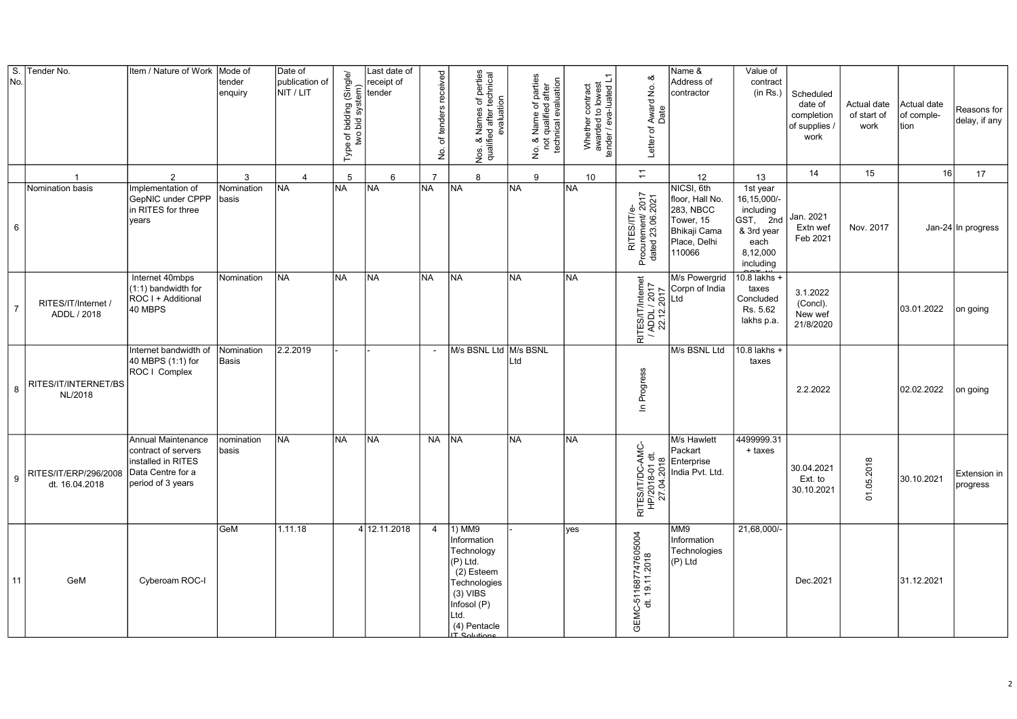| $\overline{\mathsf{s}}$ .<br>No. | Tender No.                              | Item / Nature of Work                                                                                     | Mode of<br>tender<br>enquiry | Date of<br>publication of<br>NIT / LIT | Type of bidding (Single/<br>two bid system) | Last date of<br>receipt of<br>tender | received<br>of tenders<br>ġ | of perties<br>technical<br>Nos. & Names of p<br>qualified after tech<br>evaluation                                                                         | No. & Name of parties<br>not qualified after<br>technical evaluation<br>$\frac{8}{10}$<br>$\frac{\dot{\mathsf{S}}}{\mathsf{Z}}$ | Whether contract<br>awarded to lowest<br>tender / eva-luated L1 | ∞<br>Award No.<br>Letter of /                        | Name &<br>Address of<br>contractor                                                                | Value of<br>contract<br>(in Rs.)                                                                  | Scheduled<br>date of<br>completion<br>of supplies /<br>work | Actual date<br>of start of<br>work | Actual date<br>of comple-<br>tion | Reasons for<br>delay, if any |
|----------------------------------|-----------------------------------------|-----------------------------------------------------------------------------------------------------------|------------------------------|----------------------------------------|---------------------------------------------|--------------------------------------|-----------------------------|------------------------------------------------------------------------------------------------------------------------------------------------------------|---------------------------------------------------------------------------------------------------------------------------------|-----------------------------------------------------------------|------------------------------------------------------|---------------------------------------------------------------------------------------------------|---------------------------------------------------------------------------------------------------|-------------------------------------------------------------|------------------------------------|-----------------------------------|------------------------------|
|                                  | -1                                      | 2                                                                                                         | 3                            | $\overline{4}$                         | 5                                           | 6                                    | $\overline{7}$              | 8                                                                                                                                                          | $\mathbf{Q}$                                                                                                                    | 10                                                              | $\overline{z}$                                       | 12                                                                                                | 13                                                                                                | 14                                                          | 15                                 | 16                                | 17                           |
| 6                                | Nomination basis                        | Implementation of<br>GepNIC under CPPP<br>in RITES for three<br>years                                     | Nomination<br>basis          | <b>NA</b>                              | <b>NA</b>                                   | <b>NA</b>                            | <b>NA</b>                   | NA                                                                                                                                                         | <b>NA</b>                                                                                                                       | <b>NA</b>                                                       | RITES/IT/e-<br>Procurement/ 2017<br>dated 23.06.2021 | NICSI, 6th<br>floor, Hall No.<br>283, NBCC<br>Tower, 15<br>Bhikaji Cama<br>Place, Delhi<br>110066 | 1st year<br>16, 15, 000/-<br>including<br>GST, 2nd<br>& 3rd year<br>each<br>8,12,000<br>including | Jan. 2021<br>Extn wef<br>Feb 2021                           | Nov. 2017                          |                                   | Jan-24 In progress           |
| $\overline{7}$                   | RITES/IT/Internet<br>ADDL / 2018        | Internet 40mbps<br>(1:1) bandwidth for<br>ROC I + Additional<br>40 MBPS                                   | Nomination                   | <b>NA</b>                              | <b>NA</b>                                   | <b>NA</b>                            | <b>NA</b>                   | <b>NA</b>                                                                                                                                                  | <b>NA</b>                                                                                                                       | <b>NA</b>                                                       | RITES/IT/Internet<br>/ ADDL / 2017<br>22.12.2017     | M/s Powergrid<br>Corpn of India<br>ht I                                                           | $10.8$ lakhs +<br>taxes<br>Concluded<br>Rs. 5.62<br>lakhs p.a.                                    | 3.1.2022<br>(Concl).<br>New wef<br>21/8/2020                |                                    | 03.01.2022                        | on going                     |
| 8                                | RITES/IT/INTERNET/BS<br>NL/2018         | Internet bandwidth of<br>40 MBPS (1:1) for<br>ROC   Complex                                               | Nomination<br>Basis          | 2.2.2019                               |                                             |                                      | $\sim$                      | M/s BSNL Ltd M/s BSNL                                                                                                                                      | Ltd                                                                                                                             |                                                                 | In Progress                                          | M/s BSNL Ltd                                                                                      | 10.8 lakhs +<br>taxes                                                                             | 2.2.2022                                                    |                                    | 02.02.2022                        | on going                     |
| 9                                | RITES/IT/ERP/296/2008<br>dt. 16.04.2018 | Annual Maintenance<br>contract of servers<br>installed in RITES<br>Data Centre for a<br>period of 3 years | nomination<br>basis          | <b>NA</b>                              | <b>NA</b>                                   | <b>NA</b>                            | <b>NA</b>                   | <b>NA</b>                                                                                                                                                  | <b>NA</b>                                                                                                                       | <b>NA</b>                                                       | RITES/IT/DC-AMC-<br>HP/2018-01 dt.<br>27.04.2018     | M/s Hawlett<br>Packart<br>Enterprise<br>India Pvt. Ltd.                                           | 4499999.31<br>+ taxes                                                                             | 30.04.2021<br>Ext. to<br>30.10.2021                         | 01.05.2018                         | 30.10.2021                        | Extension in<br>progress     |
| 11                               | GeM                                     | Cyberoam ROC-I                                                                                            | GeM                          | 1.11.18                                |                                             | 4 12.11.2018                         | $\overline{4}$              | 1) MM9<br>Information<br>Technology<br>$(P)$ Ltd.<br>(2) Esteem<br>Technologies<br>$(3)$ VIBS<br>Infosol (P)<br>Ltd.<br>(4) Pentacle<br><b>IT Solution</b> |                                                                                                                                 | yes                                                             | GEMC-511687747605004<br>dt. 19.11.2018               | MM9<br>Information<br>Technologies<br>(P) Ltd                                                     | 21,68,000/-                                                                                       | Dec.2021                                                    |                                    | 31.12.2021                        |                              |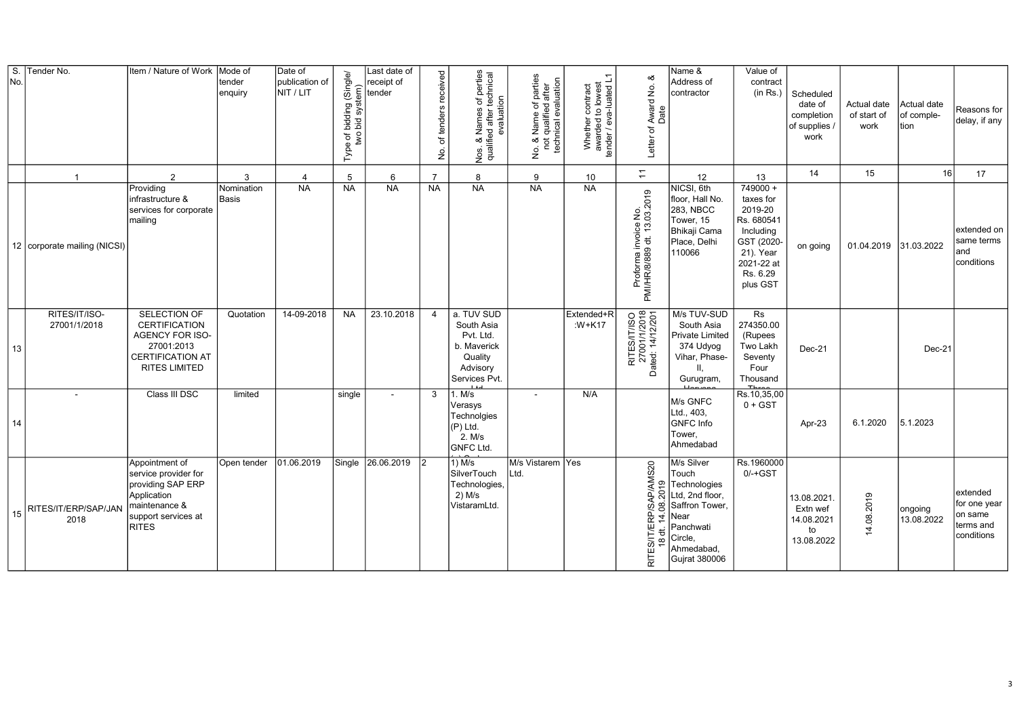| $\overline{\mathsf{s}}$ .<br>No. | Tender No.                     | Item / Nature of Work                                                                                                       | Mode of<br>tender<br>enquiry | Date of<br>publication of<br>NIT / LIT | (Single/d)<br>bidding<br>bid syste<br>$\frac{1}{2}$<br>Type | Last date of<br>receipt of<br>tender | received<br>tenders<br>৳<br>ş | <b>x</b> Names of perties<br>ied after technical<br>evaluation<br>Nos. & l<br>qualifie       | parties<br>after<br>evaluation<br>Name of<br>qualified a<br>technical<br>$\frac{8}{10}$<br>$\stackrel{\rm o}{\geq}$ | Whether contract<br>awarded to lowest<br>tender / eva-luated L1 | ∞ర<br>Award No.<br>Letter of                                                                                 | Name &<br>Address of<br>contractor                                                                                                      | Value of<br>contract<br>(in Rs.)                                                                                               | Scheduled<br>date of<br>completion<br>of supplies /<br>work | Actual date<br>of start of<br>work | Actual date<br>of comple-<br>tion | Reasons for<br>delay, if any                                   |
|----------------------------------|--------------------------------|-----------------------------------------------------------------------------------------------------------------------------|------------------------------|----------------------------------------|-------------------------------------------------------------|--------------------------------------|-------------------------------|----------------------------------------------------------------------------------------------|---------------------------------------------------------------------------------------------------------------------|-----------------------------------------------------------------|--------------------------------------------------------------------------------------------------------------|-----------------------------------------------------------------------------------------------------------------------------------------|--------------------------------------------------------------------------------------------------------------------------------|-------------------------------------------------------------|------------------------------------|-----------------------------------|----------------------------------------------------------------|
|                                  | $\overline{1}$                 | 2                                                                                                                           | 3                            | $\overline{4}$                         | 5                                                           | 6                                    | $\overline{7}$                | 8                                                                                            | 9                                                                                                                   | 10                                                              | $\div$                                                                                                       | 12                                                                                                                                      | 13                                                                                                                             | 14                                                          | 15                                 | 16                                | 17                                                             |
|                                  | 12   corporate mailing (NICSI) | Providing<br>infrastructure &<br>services for corporate<br>Imailing                                                         | Nomination<br>Basis          | <b>NA</b>                              | <b>NA</b>                                                   | <b>NA</b>                            | NA                            | <b>NA</b>                                                                                    | <b>NA</b>                                                                                                           | <b>NA</b>                                                       | Proforma invoice No.<br>PMI/HR/8/889 dt. 13.03.2019                                                          | NICSI, 6th<br>floor, Hall No.<br>283, NBCC<br>Tower, 15<br>Bhikaji Cama<br>Place, Delhi<br>110066                                       | $749000 +$<br>taxes for<br>2019-20<br>Rs. 680541<br>Including<br>GST (2020-<br>21). Year<br>2021-22 at<br>Rs. 6.29<br>plus GST | on going                                                    | 01.04.2019 31.03.2022              |                                   | extended on<br>same terms<br>and<br>conditions                 |
| 13                               | RITES/IT/ISO-<br>27001/1/2018  | SELECTION OF<br><b>CERTIFICATION</b><br>AGENCY FOR ISO-<br>27001:2013<br><b>CERTIFICATION AT</b><br><b>RITES LIMITED</b>    | Quotation                    | 14-09-2018                             | <b>NA</b>                                                   | 23.10.2018                           | $\overline{4}$                | a. TUV SUD<br>South Asia<br>Pvt. Ltd.<br>b. Maverick<br>Quality<br>Advisory<br>Services Pvt. |                                                                                                                     | Extended+R<br>:W+K17                                            | RITES/IT/ISO<br>27001/1/2018<br>Dated: 14/12/201                                                             | M/s TUV-SUD<br>South Asia<br>Private Limited<br>374 Udyog<br>Vihar, Phase-<br>H.<br>Gurugram,                                           | Rs<br>274350.00<br>(Rupees<br>Two Lakh<br>Seventy<br>Four<br>Thousand                                                          | Dec-21                                                      |                                    | Dec-21                            |                                                                |
| 14                               |                                | Class III DSC                                                                                                               | limited                      |                                        | single                                                      | $\overline{\phantom{a}}$             | 3                             | 1. M/s<br>Verasys<br>Technolgies<br>(P) Ltd.<br>2. M/s<br><b>GNFC Ltd.</b>                   | $\blacksquare$                                                                                                      | N/A                                                             |                                                                                                              | M/s GNFC<br>Ltd., 403,<br><b>GNFC</b> Info<br>Tower.<br>Ahmedabad                                                                       | Rs.10,35,00<br>$0 + GST$                                                                                                       | Apr-23                                                      | 6.1.2020                           | 5.1.2023                          |                                                                |
| 15                               | RITES/IT/ERP/SAP/JAN<br>2018   | Appointment of<br>service provider for<br>providing SAP ERP<br>Application<br>maintenance &<br>support services at<br>RITES | Open tender                  | 01.06.2019                             | Single                                                      | 26.06.2019                           | $\overline{2}$                | $1)$ M/s<br>SilverTouch<br>Technologies,<br>2) M/s<br>VistaramLtd.                           | M/s Vistarem Yes<br>Ltd.                                                                                            |                                                                 | AP/AMS20<br>2019<br>$\overline{8}$<br>võ<br>RP)<br>$\overline{4}$<br><b>RITES/IT/E</b><br>ಕ<br>$\frac{8}{1}$ | M/s Silver<br>Touch<br>Technologies<br>Ltd, 2nd floor,<br>Saffron Tower,<br>Near<br>Panchwati<br>Circle,<br>Ahmedabad,<br>Gujrat 380006 | Rs.1960000<br>$0/-+GST$                                                                                                        | 13.08.2021<br>Extn wef<br>14.08.2021<br>to<br>13.08.2022    | 14.08.2019                         | ongoing<br>13.08.2022             | extended<br>for one year<br>on same<br>terms and<br>conditions |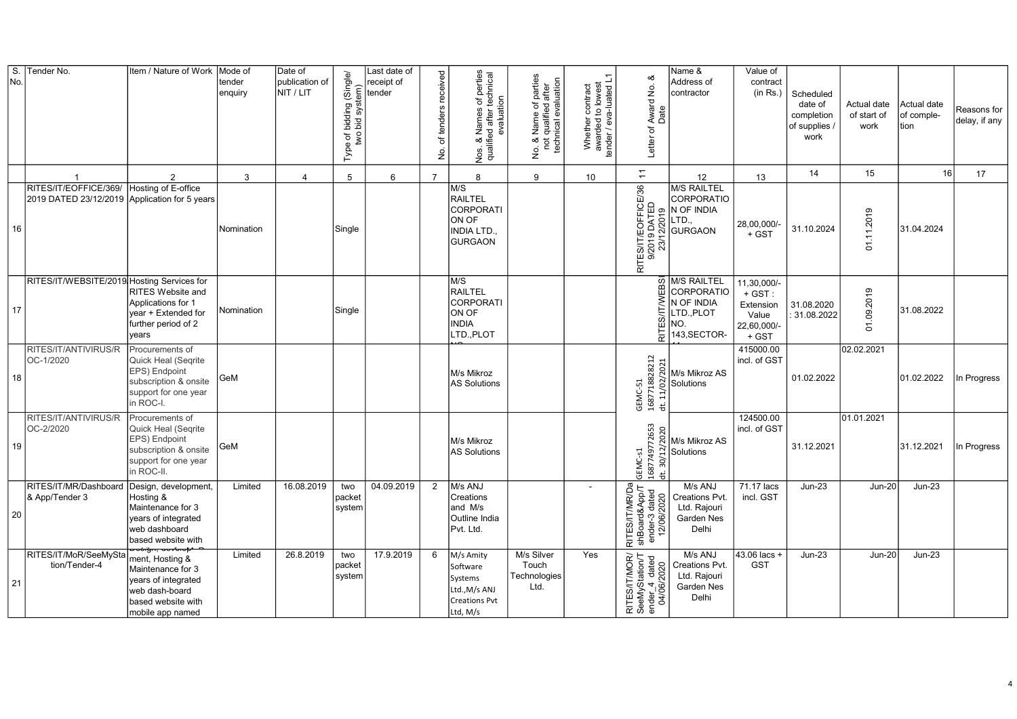| S.<br>No. | Tender No.                                     | Item / Nature of Work                                                                                                   | Mode of<br>tender<br>enquiry | Date of<br>publication of<br>NIT / LIT | bidding (Single/<br>bid system)<br>Type of <b>I</b><br>two | Last date of<br>receipt of<br>tender | received<br>of tenders<br>.<br>ع | of perties<br>technical<br>Names of p<br>ed after tech<br>evaluation<br>Nos. &<br>qualifie | parties<br>after<br><b>Jo. &amp; Name of parties</b><br>not qualified after<br>technical evaluation<br>ይ<br>2 | Whether contract<br>awarded to lowest<br>tender / eva-luated L1 | య<br>Award No.<br>Date<br>Letter of                                                      | Name &<br>Address of<br>contractor                                           | Value of<br>contract<br>(in Rs.)                                      | Scheduled<br>date of<br>completion<br>of supplies<br>work | Actual date<br>of start of<br>work | Actual date<br>of comple-<br>tion | Reasons for<br>delay, if any |
|-----------|------------------------------------------------|-------------------------------------------------------------------------------------------------------------------------|------------------------------|----------------------------------------|------------------------------------------------------------|--------------------------------------|----------------------------------|--------------------------------------------------------------------------------------------|---------------------------------------------------------------------------------------------------------------|-----------------------------------------------------------------|------------------------------------------------------------------------------------------|------------------------------------------------------------------------------|-----------------------------------------------------------------------|-----------------------------------------------------------|------------------------------------|-----------------------------------|------------------------------|
|           | $\overline{1}$                                 | 2                                                                                                                       | 3                            | 4                                      | 5                                                          | 6                                    | $\overline{7}$                   | $\mathsf{R}$                                                                               | 9                                                                                                             | 10                                                              | $\overline{z}$                                                                           | 12                                                                           | 13                                                                    | 14                                                        | 15                                 | 16                                | 17                           |
| 16        | RITES/IT/EOFFICE/369/<br>2019 DATED 23/12/2019 | Hosting of E-office<br>Application for 5 years                                                                          | Nomination                   |                                        | Single                                                     |                                      |                                  | M/S<br>RAILTEL<br>CORPORATI<br>ON OF<br><b>INDIA LTD.</b><br><b>GURGAON</b>                |                                                                                                               |                                                                 | RITES/IT/EOFFICE/36<br>9/2019 DATED<br>I 23/12/2019                                      | <b>M/S RAILTEL</b><br>CORPORATIO<br>N OF INDIA<br>LTD.,<br>GURGAON           | 28,00,000/<br>$+$ GST                                                 | 31.10.2024                                                | 01.11.2019                         | 31.04.2024                        |                              |
| 17        | RITES/IT/WEBSITE/2019 Hosting Services for     | RITES Website and<br>Applications for 1<br>year + Extended for<br>further period of 2<br>vears                          | Nomination                   |                                        | Single                                                     |                                      |                                  | M/S<br>RAILTEL<br>CORPORATI<br>ON OF<br><b>INDIA</b><br>LTD., PLOT                         |                                                                                                               |                                                                 | <b>EBSI</b><br>RITES/IT                                                                  | M/S RAILTEL<br>CORPORATIO<br>N OF INDIA<br>LTD., PLOT<br>NO.<br>143, SECTOR- | 11,30,000/-<br>$+$ GST:<br>Extension<br>Value<br>22,60,000/-<br>+ GST | 31.08.2020<br>: 31.08.2022                                | 09.2019<br>$\overline{5}$          | 31.08.2022                        |                              |
| 18        | RITES/IT/ANTIVIRUS/R<br>OC-1/2020              | Procurements of<br>Quick Heal (Segrite<br>EPS) Endpoint<br>subscription & onsite<br>support for one year<br>in ROC-I.   | GeM                          |                                        |                                                            |                                      |                                  | M/s Mikroz<br><b>AS Solutions</b>                                                          |                                                                                                               |                                                                 | $\begin{array}{c} 1.31 \\ 1.087718828212 \\ \text{d}t. 11/n \rightarrow 1.7 \end{array}$ | M/s Mikroz AS<br>Solutions                                                   | 415000.00<br>incl. of GST                                             | 01.02.2022                                                | 02.02.2021                         | 01.02.2022                        | In Progress                  |
| 19        | RITES/IT/ANTIVIRUS/R<br>OC-2/2020              | Procurements of<br>Quick Heal (Seqrite<br>EPS) Endpoint<br>subscription & onsite<br>support for one year<br>in ROC-II.  | GeM                          |                                        |                                                            |                                      |                                  | M/s Mikroz<br><b>AS Solutions</b>                                                          |                                                                                                               |                                                                 | GEMC-s1<br>1687749772653<br>dt. 30/12/2020                                               | M/s Mikroz AS<br>Solutions                                                   | 124500.00<br>incl. of GST                                             | 31.12.2021                                                | 01.01.2021                         | 31.12.2021                        | In Progress                  |
| 20        | RITES/IT/MR/Dashboard<br>& App/Tender 3        | Design, development,<br>Hosting &<br>Maintenance for 3<br>years of integrated<br>web dashboard<br>based website with    | Limited                      | 16.08.2019                             | two<br>packet<br>system                                    | 04.09.2019                           | 2                                | M/s ANJ<br>Creations<br>and M/s<br>Outline India<br>Pvt. Ltd.                              |                                                                                                               | $\overline{\phantom{a}}$                                        | RITES/IT/MR/Da<br>shBoard&App/T<br>ender-3 dated<br>12/06/2020                           | M/s ANJ<br>Creations Pvt.<br>Ltd. Rajouri<br>Garden Nes<br>Delhi             | 71.17 lacs<br>incl. GST                                               | $Jun-23$                                                  | <b>Jun-20</b>                      | <b>Jun-23</b>                     |                              |
| 21        | RITES/IT/MoR/SeeMySta<br>tion/Tender-4         | ment, Hosting &<br>Maintenance for 3<br>years of integrated<br>web dash-board<br>based website with<br>mobile app named | Limited                      | 26.8.2019                              | two<br>packet<br>system                                    | 17.9.2019                            | 6                                | M/s Amity<br>Software<br>Systems<br>Ltd., M/s ANJ<br><b>Creations Pvt</b><br>Ltd, M/s      | M/s Silver<br>Touch<br>Technologies<br>Ltd.                                                                   | Yes                                                             | RITES/IT/MOR/<br>SeeMyStation/T<br>ender_4 dated<br>04/06/2020                           | M/s ANJ<br>Creations Pvt.<br>Ltd. Rajouri<br>Garden Nes<br>Delhi             | 43.06 lacs<br><b>GST</b>                                              | <b>Jun-23</b>                                             | <b>Jun-20</b>                      | <b>Jun-23</b>                     |                              |

4